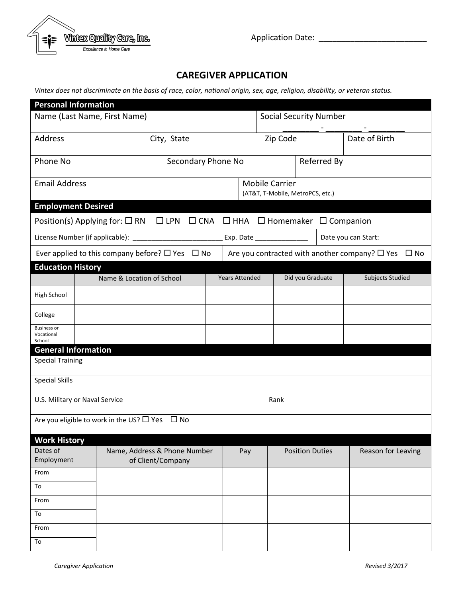

Application Date: \_\_\_\_\_\_\_\_\_\_\_\_\_\_\_\_\_\_\_\_\_\_\_\_

## **CAREGIVER APPLICATION**

*Vintex does not discriminate on the basis of race, color, national origin, sex, age, religion, disability, or veteran status.*

| <b>Personal Information</b>                                                                                                         |  |                              |                    |  |                           |                       |                                                           |                               |  |                  |                     |  |  |
|-------------------------------------------------------------------------------------------------------------------------------------|--|------------------------------|--------------------|--|---------------------------|-----------------------|-----------------------------------------------------------|-------------------------------|--|------------------|---------------------|--|--|
| Name (Last Name, First Name)                                                                                                        |  |                              |                    |  |                           |                       |                                                           | <b>Social Security Number</b> |  |                  |                     |  |  |
| Address                                                                                                                             |  |                              | City, State        |  |                           |                       | Zip Code                                                  |                               |  |                  | Date of Birth       |  |  |
| Phone No                                                                                                                            |  |                              | Secondary Phone No |  |                           |                       |                                                           |                               |  | Referred By      |                     |  |  |
| <b>Email Address</b>                                                                                                                |  |                              |                    |  |                           |                       | <b>Mobile Carrier</b><br>(AT&T, T-Mobile, MetroPCS, etc.) |                               |  |                  |                     |  |  |
| <b>Employment Desired</b>                                                                                                           |  |                              |                    |  |                           |                       |                                                           |                               |  |                  |                     |  |  |
| $\Box$ CNA $\Box$ HHA $\Box$ Homemaker $\Box$ Companion<br>Position(s) Applying for: $\square$ RN $\square$ LPN                     |  |                              |                    |  |                           |                       |                                                           |                               |  |                  |                     |  |  |
| License Number (if applicable): ______________                                                                                      |  |                              |                    |  | Exp. Date _______________ |                       |                                                           |                               |  |                  | Date you can Start: |  |  |
| Are you contracted with another company? $\square$ Yes<br>Ever applied to this company before? $\Box$ Yes $\Box$ No<br>$\square$ No |  |                              |                    |  |                           |                       |                                                           |                               |  |                  |                     |  |  |
| <b>Education History</b>                                                                                                            |  |                              |                    |  |                           |                       |                                                           |                               |  |                  |                     |  |  |
|                                                                                                                                     |  | Name & Location of School    |                    |  |                           | <b>Years Attended</b> |                                                           |                               |  | Did you Graduate | Subjects Studied    |  |  |
| High School                                                                                                                         |  |                              |                    |  |                           |                       |                                                           |                               |  |                  |                     |  |  |
| College                                                                                                                             |  |                              |                    |  |                           |                       |                                                           |                               |  |                  |                     |  |  |
| <b>Business or</b><br>Vocational<br>School                                                                                          |  |                              |                    |  |                           |                       |                                                           |                               |  |                  |                     |  |  |
| <b>General Information</b>                                                                                                          |  |                              |                    |  |                           |                       |                                                           |                               |  |                  |                     |  |  |
| <b>Special Training</b>                                                                                                             |  |                              |                    |  |                           |                       |                                                           |                               |  |                  |                     |  |  |
| <b>Special Skills</b>                                                                                                               |  |                              |                    |  |                           |                       |                                                           |                               |  |                  |                     |  |  |
| U.S. Military or Naval Service                                                                                                      |  |                              |                    |  |                           |                       | Rank                                                      |                               |  |                  |                     |  |  |
| Are you eligible to work in the US? $\Box$ Yes<br>$\Box$ No                                                                         |  |                              |                    |  |                           |                       |                                                           |                               |  |                  |                     |  |  |
| <b>Work History</b>                                                                                                                 |  |                              |                    |  |                           |                       |                                                           |                               |  |                  |                     |  |  |
| Dates of                                                                                                                            |  | Name, Address & Phone Number |                    |  | Pay                       |                       |                                                           | <b>Position Duties</b>        |  |                  | Reason for Leaving  |  |  |
| Employment                                                                                                                          |  | of Client/Company            |                    |  |                           |                       |                                                           |                               |  |                  |                     |  |  |
| From                                                                                                                                |  |                              |                    |  |                           |                       |                                                           |                               |  |                  |                     |  |  |
| To                                                                                                                                  |  |                              |                    |  |                           |                       |                                                           |                               |  |                  |                     |  |  |
| From<br>To                                                                                                                          |  |                              |                    |  |                           |                       |                                                           |                               |  |                  |                     |  |  |
| From                                                                                                                                |  |                              |                    |  |                           |                       |                                                           |                               |  |                  |                     |  |  |
| To                                                                                                                                  |  |                              |                    |  |                           |                       |                                                           |                               |  |                  |                     |  |  |
|                                                                                                                                     |  |                              |                    |  |                           |                       |                                                           |                               |  |                  |                     |  |  |